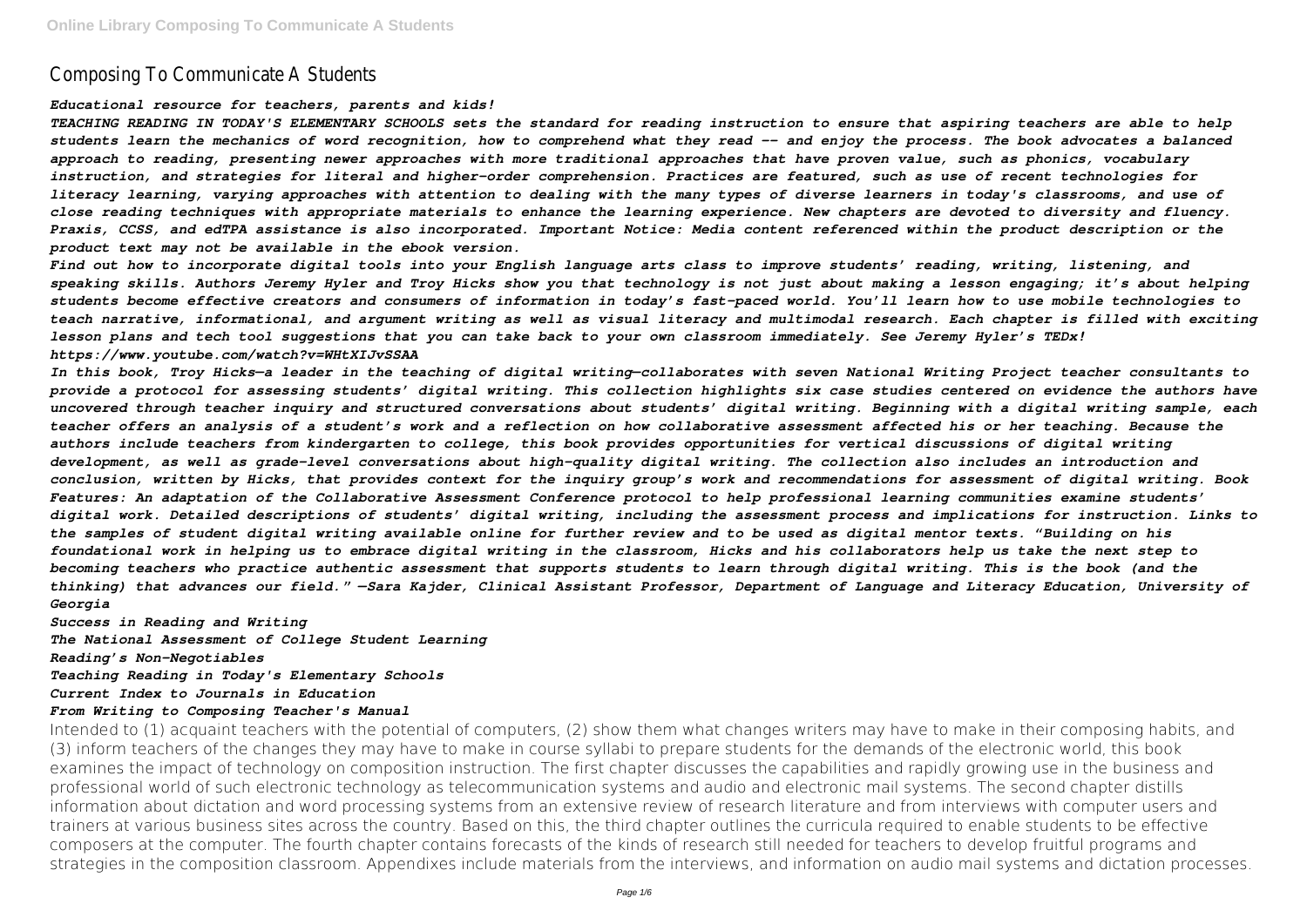# Composing To Communicate A Students

#### *Educational resource for teachers, parents and kids!*

*TEACHING READING IN TODAY'S ELEMENTARY SCHOOLS sets the standard for reading instruction to ensure that aspiring teachers are able to help students learn the mechanics of word recognition, how to comprehend what they read -- and enjoy the process. The book advocates a balanced approach to reading, presenting newer approaches with more traditional approaches that have proven value, such as phonics, vocabulary instruction, and strategies for literal and higher-order comprehension. Practices are featured, such as use of recent technologies for literacy learning, varying approaches with attention to dealing with the many types of diverse learners in today's classrooms, and use of close reading techniques with appropriate materials to enhance the learning experience. New chapters are devoted to diversity and fluency. Praxis, CCSS, and edTPA assistance is also incorporated. Important Notice: Media content referenced within the product description or the product text may not be available in the ebook version.*

*Find out how to incorporate digital tools into your English language arts class to improve students' reading, writing, listening, and speaking skills. Authors Jeremy Hyler and Troy Hicks show you that technology is not just about making a lesson engaging; it's about helping students become effective creators and consumers of information in today's fast-paced world. You'll learn how to use mobile technologies to teach narrative, informational, and argument writing as well as visual literacy and multimodal research. Each chapter is filled with exciting lesson plans and tech tool suggestions that you can take back to your own classroom immediately. See Jeremy Hyler's TEDx! https://www.youtube.com/watch?v=WHtXIJvSSAA*

*In this book, Troy Hicks—a leader in the teaching of digital writing—collaborates with seven National Writing Project teacher consultants to provide a protocol for assessing students' digital writing. This collection highlights six case studies centered on evidence the authors have uncovered through teacher inquiry and structured conversations about students' digital writing. Beginning with a digital writing sample, each teacher offers an analysis of a student's work and a reflection on how collaborative assessment affected his or her teaching. Because the authors include teachers from kindergarten to college, this book provides opportunities for vertical discussions of digital writing development, as well as grade-level conversations about high-quality digital writing. The collection also includes an introduction and conclusion, written by Hicks, that provides context for the inquiry group's work and recommendations for assessment of digital writing. Book Features: An adaptation of the Collaborative Assessment Conference protocol to help professional learning communities examine students' digital work. Detailed descriptions of students' digital writing, including the assessment process and implications for instruction. Links to the samples of student digital writing available online for further review and to be used as digital mentor texts. "Building on his foundational work in helping us to embrace digital writing in the classroom, Hicks and his collaborators help us take the next step to becoming teachers who practice authentic assessment that supports students to learn through digital writing. This is the book (and the thinking) that advances our field." —Sara Kajder, Clinical Assistant Professor, Department of Language and Literacy Education, University of Georgia*

*Success in Reading and Writing The National Assessment of College Student Learning Reading's Non-Negotiables Teaching Reading in Today's Elementary Schools Current Index to Journals in Education From Writing to Composing Teacher's Manual*

Intended to (1) acquaint teachers with the potential of computers, (2) show them what changes writers may have to make in their composing habits, and (3) inform teachers of the changes they may have to make in course syllabi to prepare students for the demands of the electronic world, this book examines the impact of technology on composition instruction. The first chapter discusses the capabilities and rapidly growing use in the business and professional world of such electronic technology as telecommunication systems and audio and electronic mail systems. The second chapter distills information about dictation and word processing systems from an extensive review of research literature and from interviews with computer users and trainers at various business sites across the country. Based on this, the third chapter outlines the curricula required to enable students to be effective composers at the computer. The fourth chapter contains forecasts of the kinds of research still needed for teachers to develop fruitful programs and strategies in the composition classroom. Appendixes include materials from the interviews, and information on audio mail systems and dictation processes.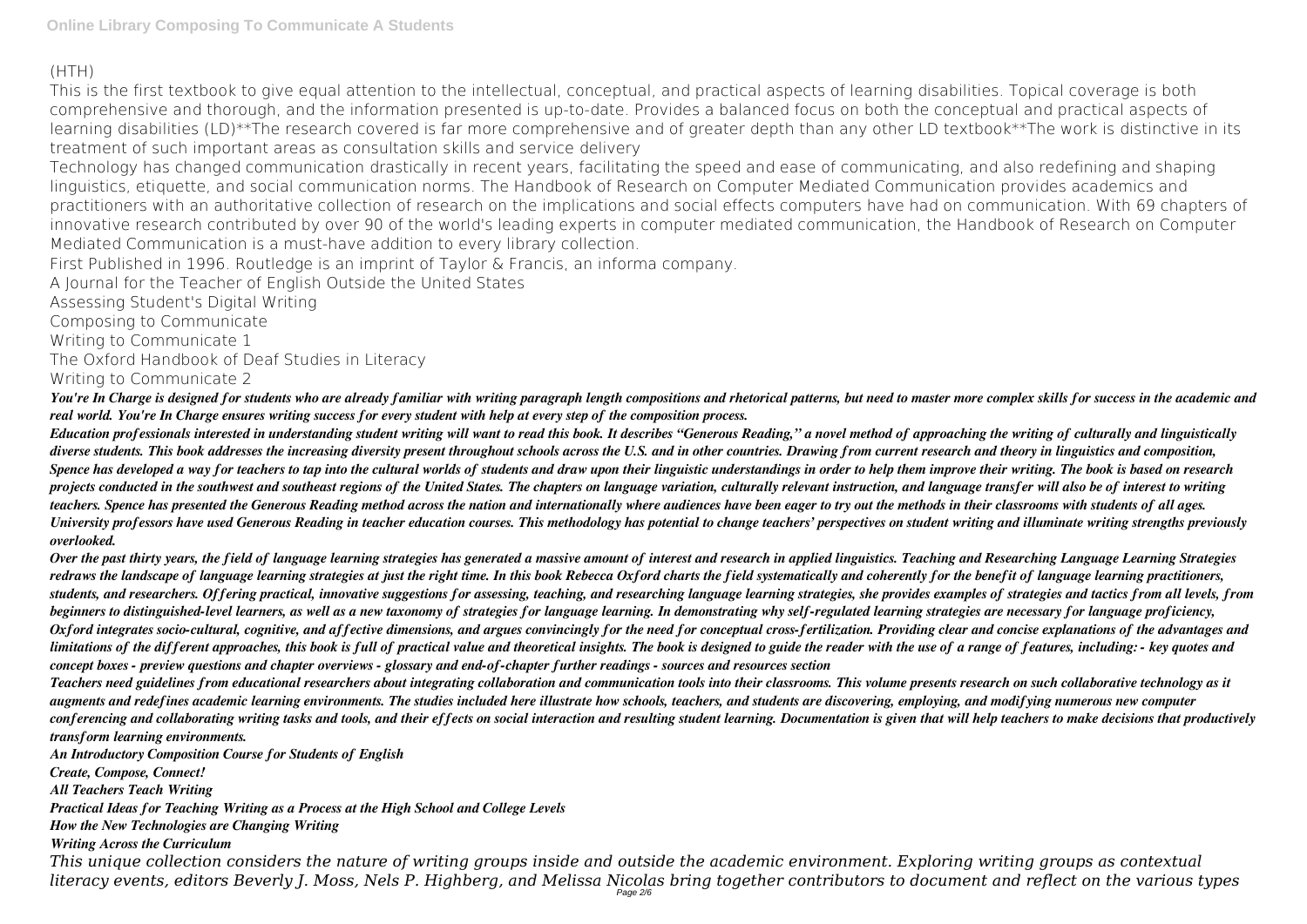## (HTH)

This is the first textbook to give equal attention to the intellectual, conceptual, and practical aspects of learning disabilities. Topical coverage is both comprehensive and thorough, and the information presented is up-to-date. Provides a balanced focus on both the conceptual and practical aspects of learning disabilities (LD)\*\*The research covered is far more comprehensive and of greater depth than any other LD textbook\*\*The work is distinctive in its treatment of such important areas as consultation skills and service delivery

Technology has changed communication drastically in recent years, facilitating the speed and ease of communicating, and also redefining and shaping linguistics, etiquette, and social communication norms. The Handbook of Research on Computer Mediated Communication provides academics and practitioners with an authoritative collection of research on the implications and social effects computers have had on communication. With 69 chapters of innovative research contributed by over 90 of the world's leading experts in computer mediated communication, the Handbook of Research on Computer Mediated Communication is a must-have addition to every library collection.

First Published in 1996. Routledge is an imprint of Taylor & Francis, an informa company.

A Journal for the Teacher of English Outside the United States

Assessing Student's Digital Writing

Composing to Communicate

Writing to Communicate 1

The Oxford Handbook of Deaf Studies in Literacy Writing to Communicate 2

*You're In Charge is designed for students who are already familiar with writing paragraph length compositions and rhetorical patterns, but need to master more complex skills for success in the academic and real world. You're In Charge ensures writing success for every student with help at every step of the composition process.*

*Education professionals interested in understanding student writing will want to read this book. It describes "Generous Reading," a novel method of approaching the writing of culturally and linguistically diverse students. This book addresses the increasing diversity present throughout schools across the U.S. and in other countries. Drawing from current research and theory in linguistics and composition, Spence has developed a way for teachers to tap into the cultural worlds of students and draw upon their linguistic understandings in order to help them improve their writing. The book is based on research projects conducted in the southwest and southeast regions of the United States. The chapters on language variation, culturally relevant instruction, and language transfer will also be of interest to writing teachers. Spence has presented the Generous Reading method across the nation and internationally where audiences have been eager to try out the methods in their classrooms with students of all ages. University professors have used Generous Reading in teacher education courses. This methodology has potential to change teachers' perspectives on student writing and illuminate writing strengths previously overlooked.*

*Over the past thirty years, the field of language learning strategies has generated a massive amount of interest and research in applied linguistics. Teaching and Researching Language Learning Strategies redraws the landscape of language learning strategies at just the right time. In this book Rebecca Oxford charts the field systematically and coherently for the benefit of language learning practitioners, students, and researchers. Offering practical, innovative suggestions for assessing, teaching, and researching language learning strategies, she provides examples of strategies and tactics from all levels, from beginners to distinguished-level learners, as well as a new taxonomy of strategies for language learning. In demonstrating why self-regulated learning strategies are necessary for language proficiency, Oxford integrates socio-cultural, cognitive, and affective dimensions, and argues convincingly for the need for conceptual cross-fertilization. Providing clear and concise explanations of the advantages and limitations of the different approaches, this book is full of practical value and theoretical insights. The book is designed to guide the reader with the use of a range of features, including: - key quotes and concept boxes - preview questions and chapter overviews - glossary and end-of-chapter further readings - sources and resources section*

*Teachers need guidelines from educational researchers about integrating collaboration and communication tools into their classrooms. This volume presents research on such collaborative technology as it augments and redefines academic learning environments. The studies included here illustrate how schools, teachers, and students are discovering, employing, and modifying numerous new computer conferencing and collaborating writing tasks and tools, and their effects on social interaction and resulting student learning. Documentation is given that will help teachers to make decisions that productively transform learning environments.*

*An Introductory Composition Course for Students of English*

*Create, Compose, Connect!*

*All Teachers Teach Writing*

*Practical Ideas for Teaching Writing as a Process at the High School and College Levels*

*How the New Technologies are Changing Writing*

*Writing Across the Curriculum*

*This unique collection considers the nature of writing groups inside and outside the academic environment. Exploring writing groups as contextual literacy events, editors Beverly J. Moss, Nels P. Highberg, and Melissa Nicolas bring together contributors to document and reflect on the various types* Page 2/6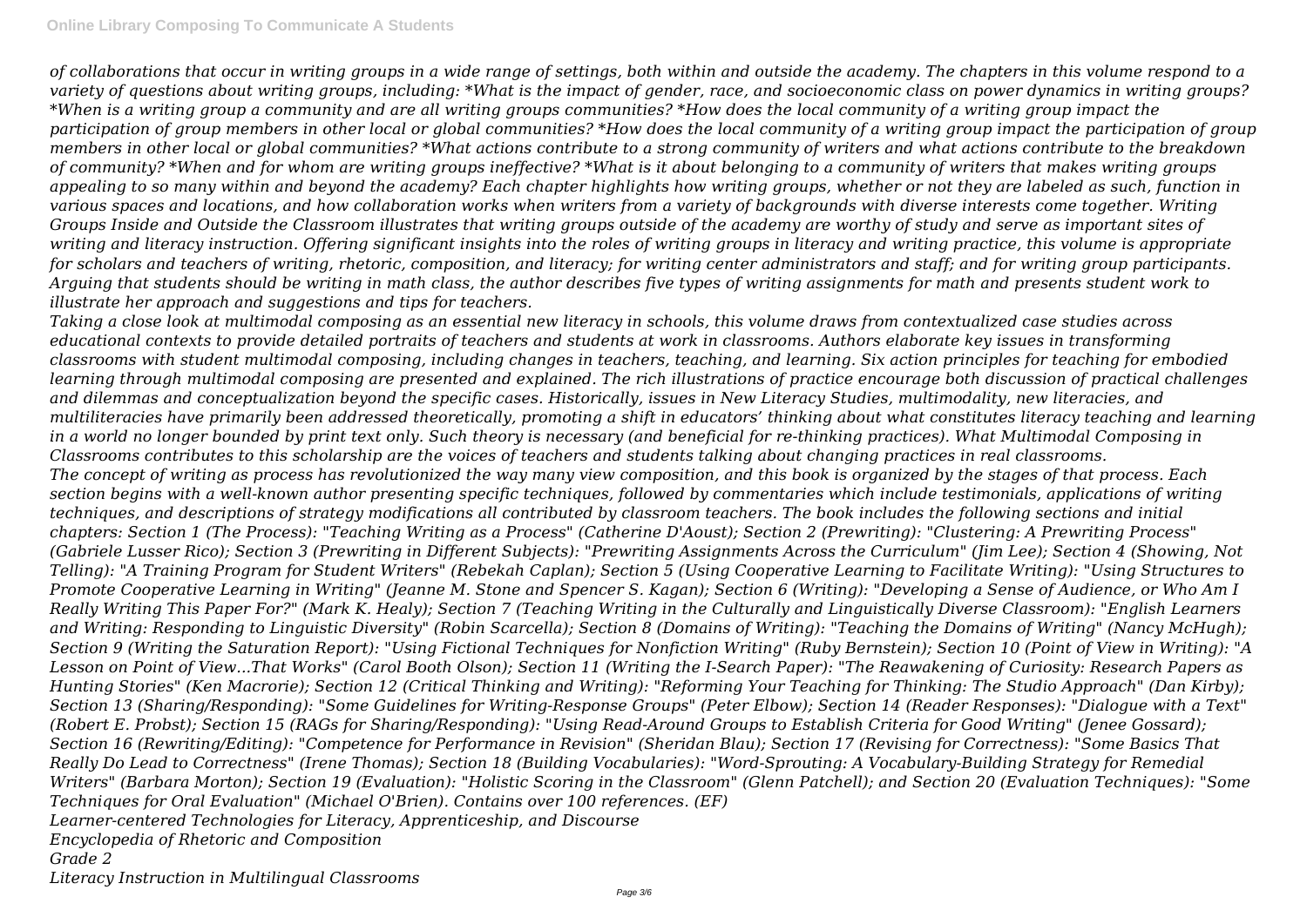*of collaborations that occur in writing groups in a wide range of settings, both within and outside the academy. The chapters in this volume respond to a variety of questions about writing groups, including: \*What is the impact of gender, race, and socioeconomic class on power dynamics in writing groups? \*When is a writing group a community and are all writing groups communities? \*How does the local community of a writing group impact the participation of group members in other local or global communities? \*How does the local community of a writing group impact the participation of group members in other local or global communities? \*What actions contribute to a strong community of writers and what actions contribute to the breakdown of community? \*When and for whom are writing groups ineffective? \*What is it about belonging to a community of writers that makes writing groups appealing to so many within and beyond the academy? Each chapter highlights how writing groups, whether or not they are labeled as such, function in various spaces and locations, and how collaboration works when writers from a variety of backgrounds with diverse interests come together. Writing Groups Inside and Outside the Classroom illustrates that writing groups outside of the academy are worthy of study and serve as important sites of writing and literacy instruction. Offering significant insights into the roles of writing groups in literacy and writing practice, this volume is appropriate for scholars and teachers of writing, rhetoric, composition, and literacy; for writing center administrators and staff; and for writing group participants. Arguing that students should be writing in math class, the author describes five types of writing assignments for math and presents student work to illustrate her approach and suggestions and tips for teachers.*

*Taking a close look at multimodal composing as an essential new literacy in schools, this volume draws from contextualized case studies across educational contexts to provide detailed portraits of teachers and students at work in classrooms. Authors elaborate key issues in transforming classrooms with student multimodal composing, including changes in teachers, teaching, and learning. Six action principles for teaching for embodied learning through multimodal composing are presented and explained. The rich illustrations of practice encourage both discussion of practical challenges and dilemmas and conceptualization beyond the specific cases. Historically, issues in New Literacy Studies, multimodality, new literacies, and multiliteracies have primarily been addressed theoretically, promoting a shift in educators' thinking about what constitutes literacy teaching and learning in a world no longer bounded by print text only. Such theory is necessary (and beneficial for re-thinking practices). What Multimodal Composing in Classrooms contributes to this scholarship are the voices of teachers and students talking about changing practices in real classrooms. The concept of writing as process has revolutionized the way many view composition, and this book is organized by the stages of that process. Each section begins with a well-known author presenting specific techniques, followed by commentaries which include testimonials, applications of writing techniques, and descriptions of strategy modifications all contributed by classroom teachers. The book includes the following sections and initial chapters: Section 1 (The Process): "Teaching Writing as a Process" (Catherine D'Aoust); Section 2 (Prewriting): "Clustering: A Prewriting Process" (Gabriele Lusser Rico); Section 3 (Prewriting in Different Subjects): "Prewriting Assignments Across the Curriculum" (Jim Lee); Section 4 (Showing, Not Telling): "A Training Program for Student Writers" (Rebekah Caplan); Section 5 (Using Cooperative Learning to Facilitate Writing): "Using Structures to Promote Cooperative Learning in Writing" (Jeanne M. Stone and Spencer S. Kagan); Section 6 (Writing): "Developing a Sense of Audience, or Who Am I Really Writing This Paper For?" (Mark K. Healy); Section 7 (Teaching Writing in the Culturally and Linguistically Diverse Classroom): "English Learners and Writing: Responding to Linguistic Diversity" (Robin Scarcella); Section 8 (Domains of Writing): "Teaching the Domains of Writing" (Nancy McHugh); Section 9 (Writing the Saturation Report): "Using Fictional Techniques for Nonfiction Writing" (Ruby Bernstein); Section 10 (Point of View in Writing): "A Lesson on Point of View...That Works" (Carol Booth Olson); Section 11 (Writing the I-Search Paper): "The Reawakening of Curiosity: Research Papers as Hunting Stories" (Ken Macrorie); Section 12 (Critical Thinking and Writing): "Reforming Your Teaching for Thinking: The Studio Approach" (Dan Kirby); Section 13 (Sharing/Responding): "Some Guidelines for Writing-Response Groups" (Peter Elbow); Section 14 (Reader Responses): "Dialogue with a Text" (Robert E. Probst); Section 15 (RAGs for Sharing/Responding): "Using Read-Around Groups to Establish Criteria for Good Writing" (Jenee Gossard); Section 16 (Rewriting/Editing): "Competence for Performance in Revision" (Sheridan Blau); Section 17 (Revising for Correctness): "Some Basics That Really Do Lead to Correctness" (Irene Thomas); Section 18 (Building Vocabularies): "Word-Sprouting: A Vocabulary-Building Strategy for Remedial Writers" (Barbara Morton); Section 19 (Evaluation): "Holistic Scoring in the Classroom" (Glenn Patchell); and Section 20 (Evaluation Techniques): "Some Techniques for Oral Evaluation" (Michael O'Brien). Contains over 100 references. (EF) Learner-centered Technologies for Literacy, Apprenticeship, and Discourse Encyclopedia of Rhetoric and Composition Grade 2*

*Literacy Instruction in Multilingual Classrooms*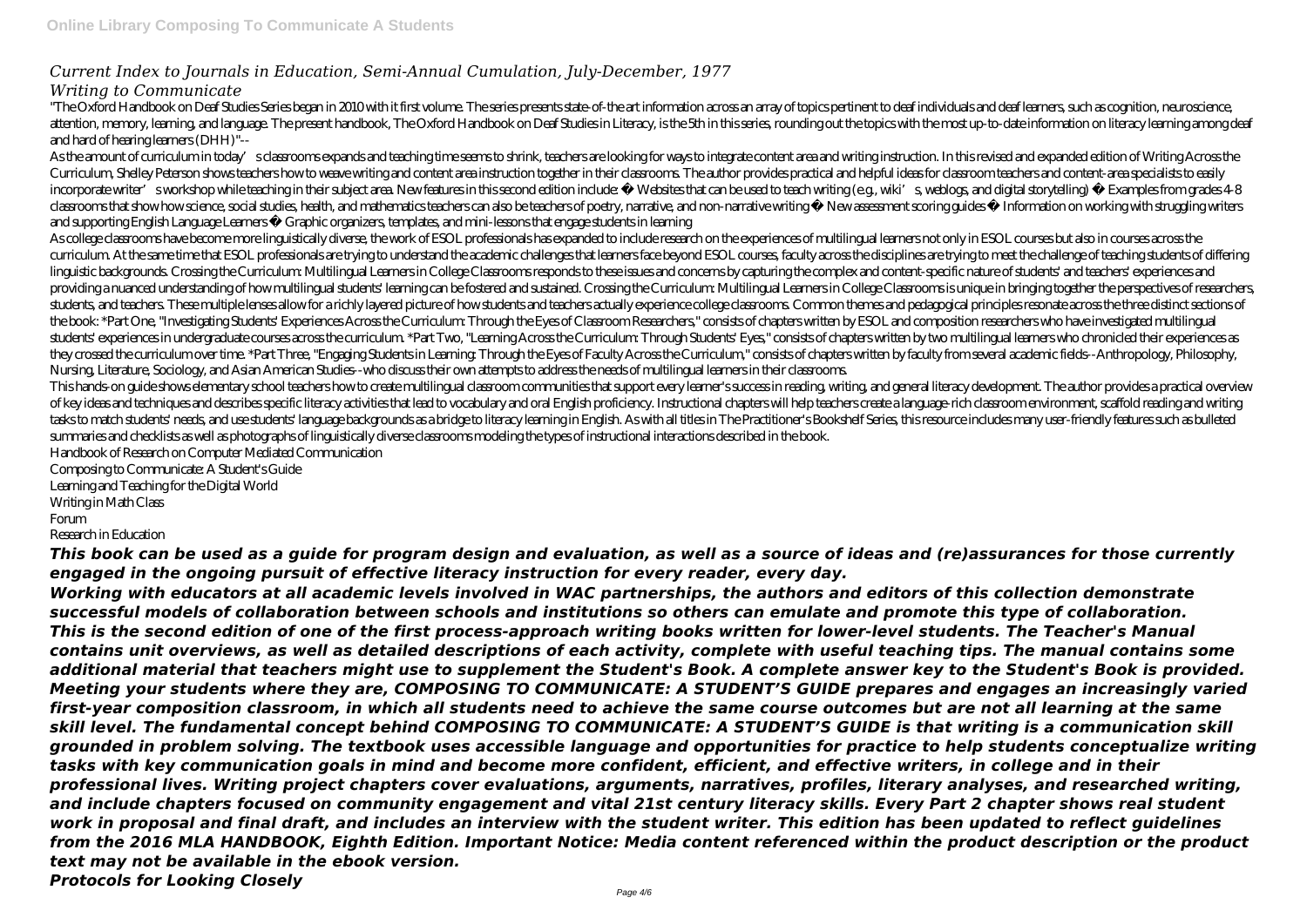### *Current Index to Journals in Education, Semi-Annual Cumulation, July-December, 1977 Writing to Communicate*

"The Oxford Handbook on Deaf Studies Series began in 2010 with it first volume. The series presents state- of-the art information across an array of topics pertinent to deaf individuals and deaf learners, such as cognition attention, memory, learning, and language. The present handbook, The Oxford Handbook on Deaf Studies in Literacy, is the 5th in this series, rounding out the topics with the most up-to-date information on literacy learning and hard of hearing learners (DHH)"--

As the amount of curriculum in today' sclassrooms expands and teaching time seems to shrink, teachers are looking for ways to integrate content area and writing instruction. In this revised and expanded edition of Writing Curriculum, Shelley Peterson shows teachers how to weave writing and content area instruction together in their classrooms. The author provides practical and helpful ideas for classroom teachers and content-area specialist incorporate writer' sworkshop while teaching in their subject area. New features in this second edition include: • Websites that can be used to teach writing (e.g., wiki's weblogs, and digital storytelling) • Examples from classrooms that show how science, social studies, health, and mathematics teachers can also be teachers of poetry, narrative, and non-narrative writing • New assessment scoring guides • Information on working with struggli and supporting English Language Learners • Graphic organizers, templates, and mini-lessons that engage students in learning

As college classrooms have become more linguistically diverse, the work of ESOL professionals has expanded to include research on the experiences of multilingual learners not only in ESOL courses but also in courses across curriculum. At the same time that ESOL professionals are trying to understand the academic challenges that learners face beyond ESOL courses, faculty across the disciplines are trying to meet the challenge of teaching stud linguistic backgrounds. Crossing the Curriculum: Multilingual Learners in College Classrooms responds to these issues and concerns by capturing the complex and content-specific nature of students' and teachers' experiences providing a nuanced understanding of how multilingual students' learning can be fostered and sustained. Crossing the Curriculum: Multilingual Learners in College Classrooms is unique in bringing together the perspectives o students and teachers. These multiple lenses allow for a richly layered picture of how students and teachers actually experience college classrooms. Common themes and pedagogical principles resonate across the three distin the book: \*Part One, "Investigating Students' Experiences Across the Curriculum: Through the Eyes of Classroom Researchers," consists of chapters written by ESOL and composition researchers who have investigated multilingual students' experiences in undergraduate courses across the curriculum. \*Part Two, "Learning Across the Curriculum: Through Students' Eyes," consists of chapters written by two multilingual learners who chronicled their expe they crossed the curriculum over time, \*Part Three, "Engaging Students in Learning. Through the Eves of Faculty Across the Curriculum," consists of chapters written by faculty from several academic fields - Anthropology. P Nursing, Literature, Sociology, and Asian American Studies--who discuss their own attempts to address the needs of multilingual learners in their classrooms.

This hands on guide shows elementary school teachers how to create multilingual classroom communities that support every learner's success in reading, writing, and general literacy development. The author provides a practi of key ideas and techniques and describes specific literacy activities that lead to vocabulary and oral English proficiency. Instructional chapters will help teachers create a language-rich classroom environment, scaffold tasks to match students' needs, and use students' language backgrounds as a bridge to literacy learning in English. As with all titles in The Practitioner's Bookshelf Series, this resource includes many user-friendly featu summaries and checklists as well as photographs of linguistically diverse classrooms modeling the types of instructional interactions described in the book.

Handbook of Research on Computer Mediated Communication

Composing to Communicate: A Student's Guide Learning and Teaching for the Digital World Writing in Math Class Forum

Research in Education

*This book can be used as a guide for program design and evaluation, as well as a source of ideas and (re)assurances for those currently engaged in the ongoing pursuit of effective literacy instruction for every reader, every day.*

*Working with educators at all academic levels involved in WAC partnerships, the authors and editors of this collection demonstrate successful models of collaboration between schools and institutions so others can emulate and promote this type of collaboration. This is the second edition of one of the first process-approach writing books written for lower-level students. The Teacher's Manual contains unit overviews, as well as detailed descriptions of each activity, complete with useful teaching tips. The manual contains some additional material that teachers might use to supplement the Student's Book. A complete answer key to the Student's Book is provided. Meeting your students where they are, COMPOSING TO COMMUNICATE: A STUDENT'S GUIDE prepares and engages an increasingly varied first-year composition classroom, in which all students need to achieve the same course outcomes but are not all learning at the same skill level. The fundamental concept behind COMPOSING TO COMMUNICATE: A STUDENT'S GUIDE is that writing is a communication skill grounded in problem solving. The textbook uses accessible language and opportunities for practice to help students conceptualize writing tasks with key communication goals in mind and become more confident, efficient, and effective writers, in college and in their professional lives. Writing project chapters cover evaluations, arguments, narratives, profiles, literary analyses, and researched writing, and include chapters focused on community engagement and vital 21st century literacy skills. Every Part 2 chapter shows real student work in proposal and final draft, and includes an interview with the student writer. This edition has been updated to reflect guidelines from the 2016 MLA HANDBOOK, Eighth Edition. Important Notice: Media content referenced within the product description or the product text may not be available in the ebook version. Protocols for Looking Closely*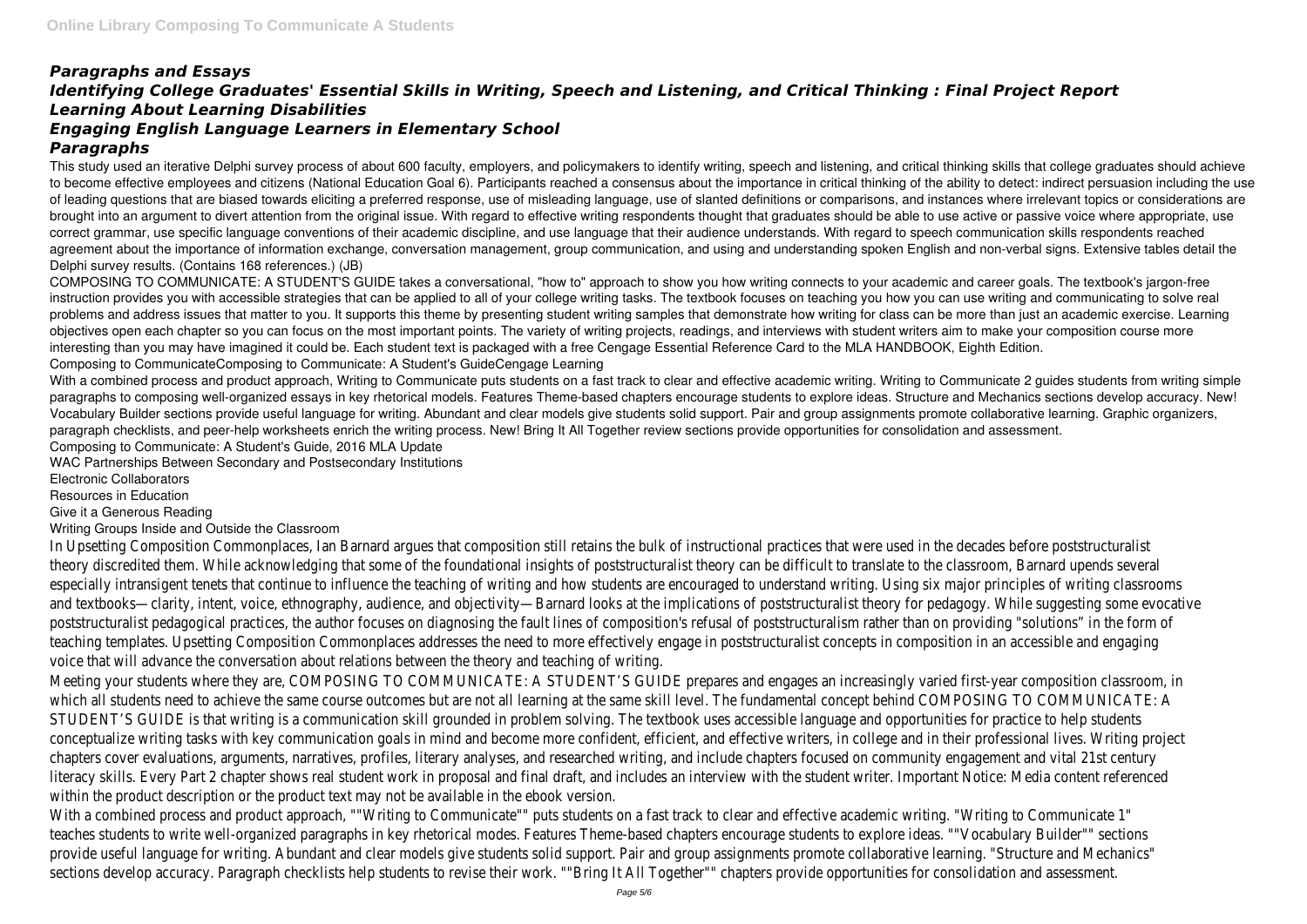## *Paragraphs and Essays Identifying College Graduates' Essential Skills in Writing, Speech and Listening, and Critical Thinking : Final Project Report Learning About Learning Disabilities Engaging English Language Learners in Elementary School Paragraphs*

This study used an iterative Delphi survey process of about 600 faculty, employers, and policymakers to identify writing, speech and listening, and critical thinking skills that college graduates should achieve to become effective employees and citizens (National Education Goal 6). Participants reached a consensus about the importance in critical thinking of the ability to detect: indirect persuasion including the use of leading questions that are biased towards eliciting a preferred response, use of misleading language, use of slanted definitions or comparisons, and instances where irrelevant topics or considerations are brought into an argument to divert attention from the original issue. With regard to effective writing respondents thought that graduates should be able to use active or passive voice where appropriate, use correct grammar, use specific language conventions of their academic discipline, and use language that their audience understands. With regard to speech communication skills respondents reached agreement about the importance of information exchange, conversation management, group communication, and using and understanding spoken English and non-verbal signs. Extensive tables detail the Delphi survey results. (Contains 168 references.) (JB)

With a combined process and product approach. Writing to Communicate puts students on a fast track to clear and effective academic writing. Writing to Communicate 2 quides students from writing simple paragraphs to composing well-organized essays in key rhetorical models. Features Theme-based chapters encourage students to explore ideas. Structure and Mechanics sections develop accuracy. New! Vocabulary Builder sections provide useful language for writing. Abundant and clear models give students solid support. Pair and group assignments promote collaborative learning. Graphic organizers, paragraph checklists, and peer-help worksheets enrich the writing process. New! Bring It All Together review sections provide opportunities for consolidation and assessment. Composing to Communicate: A Student's Guide, 2016 MLA Update

COMPOSING TO COMMUNICATE: A STUDENT'S GUIDE takes a conversational, "how to" approach to show you how writing connects to your academic and career goals. The textbook's jargon-free instruction provides you with accessible strategies that can be applied to all of your college writing tasks. The textbook focuses on teaching you how you can use writing and communicating to solve real problems and address issues that matter to you. It supports this theme by presenting student writing samples that demonstrate how writing for class can be more than just an academic exercise. Learning objectives open each chapter so you can focus on the most important points. The variety of writing projects, readings, and interviews with student writers aim to make your composition course more interesting than you may have imagined it could be. Each student text is packaged with a free Cengage Essential Reference Card to the MLA HANDBOOK, Eighth Edition. Composing to CommunicateComposing to Communicate: A Student's GuideCengage Learning

In Upsetting Composition Commonplaces, Ian Barnard argues that composition still retains the bulk of instructional practices that were theory discredited them. While acknowledging that some of the foundational insights of poststructuralist theory can be difficult to tra especially intransigent tenets that continue to influence the teaching of writing and how students are encouraged to understand writ and textbooks—clarity, intent, voice, ethnography, audience, and objectivity—Barnard looks at the implications of poststructuralist theory for the suggesting some evolutions some evocative suggesting some evocative some ev poststructuralist pedagogical practices, the author focuses on diagnosing the fault lines of composition's refusal of poststructuralism teaching templates. Upsetting Composition Commonplaces addresses the need to more effectively engage in poststructuralist concept voice that will advance the conversation about relations between the theory and teaching of writing. Meeting your students where they are, COMPOSING TO COMMUNICATE: A STUDENT'S GUIDE prepares and engages an increasingly varie which all students need to achieve the same course outcomes but are not all learning at the same skill level. The fundamental concept STUDENT'S GUIDE is that writing is a communication skill grounded in problem solving. The textbook uses accessible language and oppor conceptualize writing tasks with key communication goals in mind and become more confident, efficient, and effective writers, in colled chapters cover evaluations, arguments, narratives, profiles, literary analyses, and researched writing, and include chapters focused on c literacy skills. Every Part 2 chapter shows real student work in proposal and final draft, and includes an interview with the student wi within the product description or the product text may not be available in the ebook version.

With a combined process and product approach, ""Writing to Communicate"" puts students on a fast track to clear and effective acade teaches students to write well-organized paragraphs in key rhetorical modes. Features Theme-based chapters encourage students to  $\epsilon$ provide useful language for writing. Abundant and clear models give students solid support. Pair and group assignments promote collab sections develop accuracy. Paragraph checklists help students to revise their work. ""Bring It All Together"" chapters provide opportunition and assessment. The consolidation and assessment and assessment. And as exception

WAC Partnerships Between Secondary and Postsecondary Institutions

Electronic Collaborators

Resources in Education

Give it a Generous Reading

Writing Groups Inside and Outside the Classroom